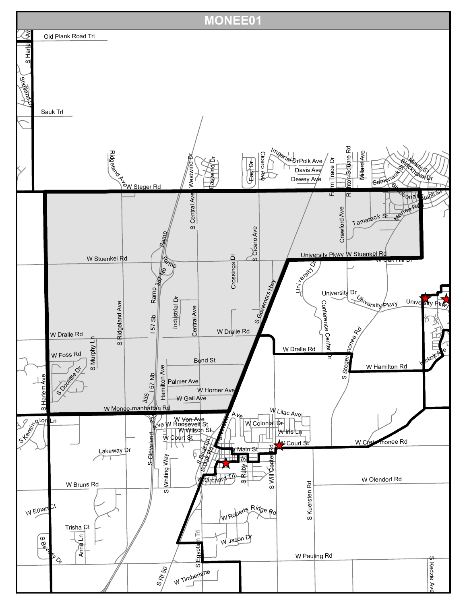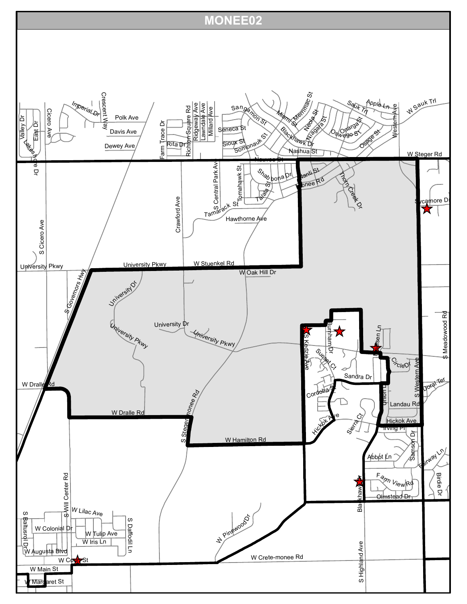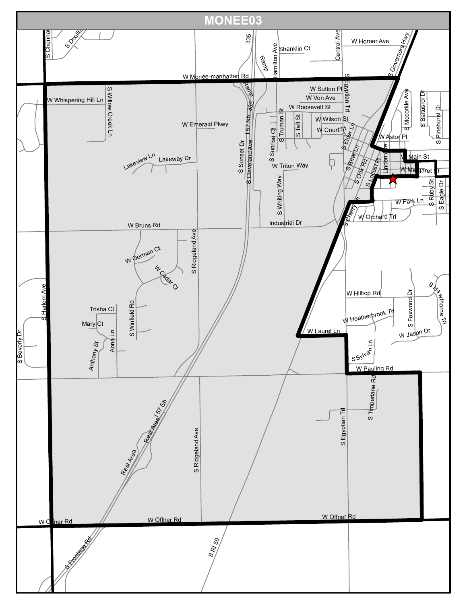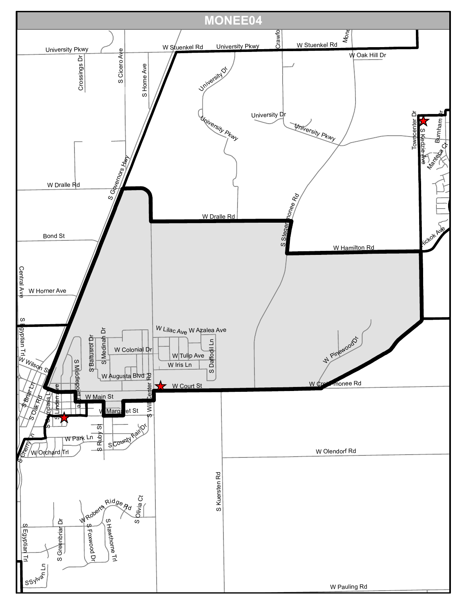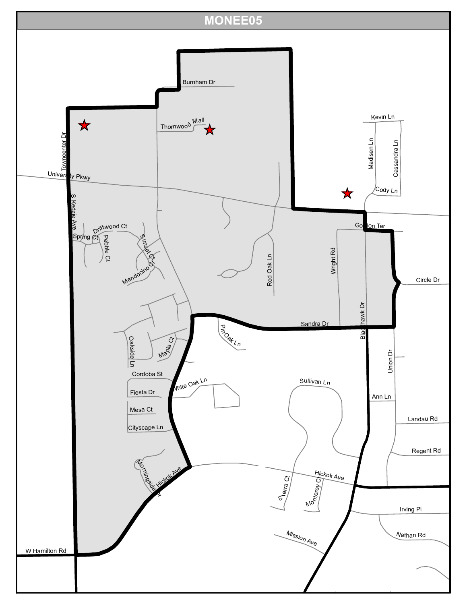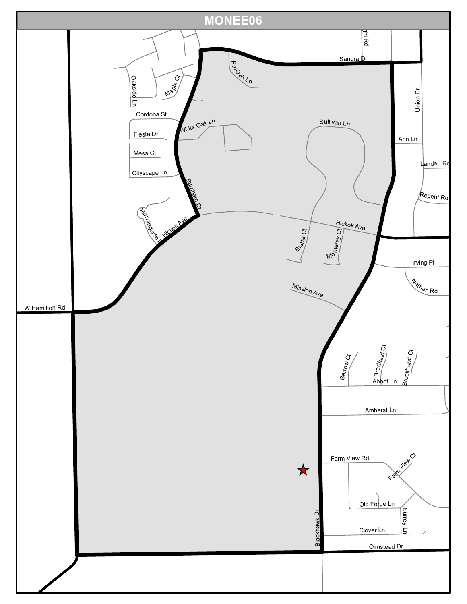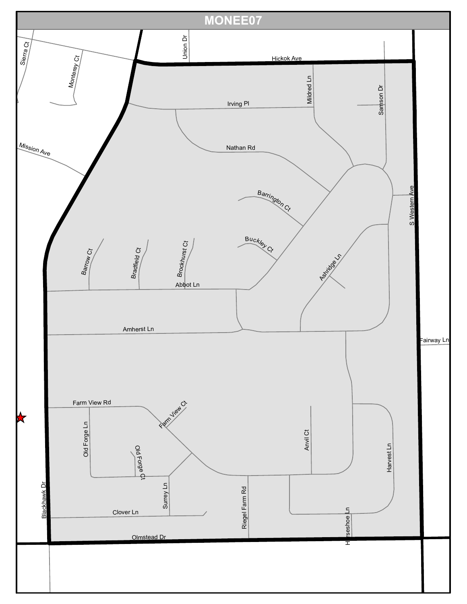